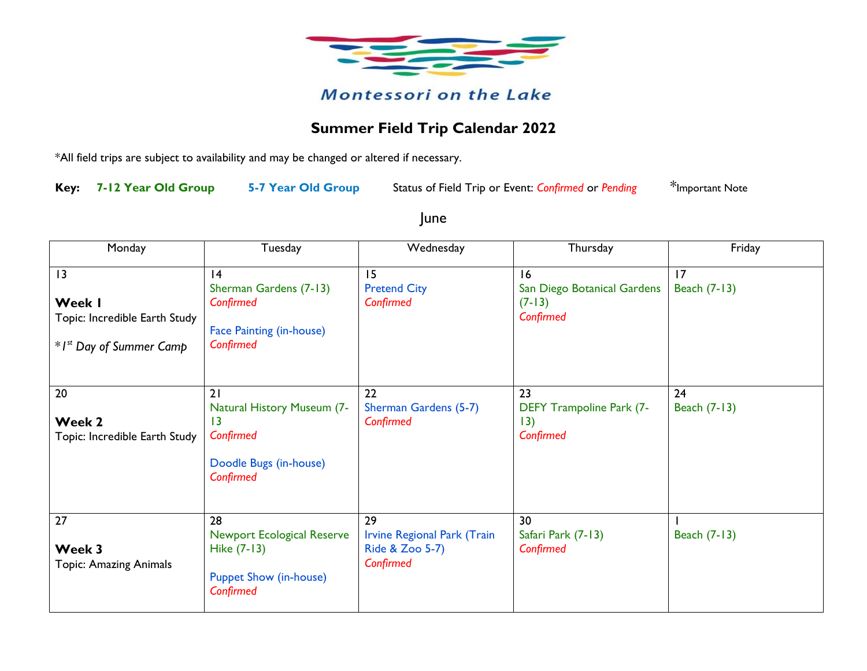

## **Summer Field Trip Calendar 2022**

\*All field trips are subject to availability and may be changed or altered if necessary.

**Key: 7-12 Year Old Group 5-7 Year Old Group** Status of Field Trip or Event: *Confirmed* or *Pending* \*Important Note

June

| Monday                                                                               | Tuesday                                                                                              | Wednesday                                                                | Thursday                                                   | Friday             |
|--------------------------------------------------------------------------------------|------------------------------------------------------------------------------------------------------|--------------------------------------------------------------------------|------------------------------------------------------------|--------------------|
| 13<br>Week I<br>Topic: Incredible Earth Study<br>*I <sup>st</sup> Day of Summer Camp | 4<br>Sherman Gardens (7-13)<br>Confirmed<br><b>Face Painting (in-house)</b><br>Confirmed             | 15<br><b>Pretend City</b><br>Confirmed                                   | 16<br>San Diego Botanical Gardens<br>$(7-13)$<br>Confirmed | 17<br>Beach (7-13) |
| 20<br>Week 2<br>Topic: Incredible Earth Study                                        | 21<br><b>Natural History Museum (7-</b><br>13<br>Confirmed<br>Doodle Bugs (in-house)<br>Confirmed    | 22<br>Sherman Gardens (5-7)<br>Confirmed                                 | 23<br><b>DEFY Trampoline Park (7-</b><br>13)<br>Confirmed  | 24<br>Beach (7-13) |
| 27<br>Week 3<br><b>Topic: Amazing Animals</b>                                        | 28<br><b>Newport Ecological Reserve</b><br>Hike (7-13)<br><b>Puppet Show (in-house)</b><br>Confirmed | 29<br><b>Irvine Regional Park (Train</b><br>Ride & Zoo 5-7)<br>Confirmed | 30<br>Safari Park (7-13)<br>Confirmed                      | Beach (7-13)       |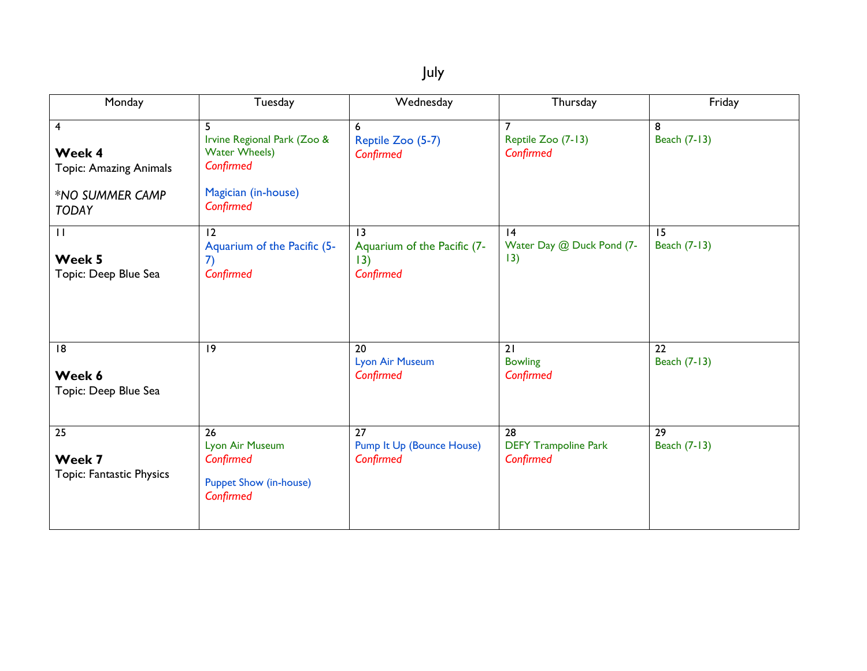| . .<br>×<br>۰, |  |
|----------------|--|
|----------------|--|

| Monday                                                                                                | Tuesday                                                                                                   | Wednesday                                             | Thursday                                       | Friday             |
|-------------------------------------------------------------------------------------------------------|-----------------------------------------------------------------------------------------------------------|-------------------------------------------------------|------------------------------------------------|--------------------|
| $\overline{\mathbf{4}}$<br>Week 4<br><b>Topic: Amazing Animals</b><br>*NO SUMMER CAMP<br><b>TODAY</b> | 5<br>Irvine Regional Park (Zoo &<br><b>Water Wheels)</b><br>Confirmed<br>Magician (in-house)<br>Confirmed | 6<br>Reptile Zoo (5-7)<br>Confirmed                   | Reptile Zoo (7-13)<br>Confirmed                | 8<br>Beach (7-13)  |
| $\mathbf{H}$<br>Week 5<br>Topic: Deep Blue Sea                                                        | 12<br>Aquarium of the Pacific (5-<br>7)<br>Confirmed                                                      | 13<br>Aquarium of the Pacific (7-<br>13)<br>Confirmed | 4<br>Water Day @ Duck Pond (7-<br>13)          | 15<br>Beach (7-13) |
| 18<br>Week 6<br>Topic: Deep Blue Sea                                                                  | 9                                                                                                         | 20<br><b>Lyon Air Museum</b><br>Confirmed             | 21<br><b>Bowling</b><br>Confirmed              | 22<br>Beach (7-13) |
| 25<br>Week 7<br>Topic: Fantastic Physics                                                              | 26<br>Lyon Air Museum<br>Confirmed<br><b>Puppet Show (in-house)</b><br>Confirmed                          | 27<br>Pump It Up (Bounce House)<br>Confirmed          | 28<br><b>DEFY Trampoline Park</b><br>Confirmed | 29<br>Beach (7-13) |